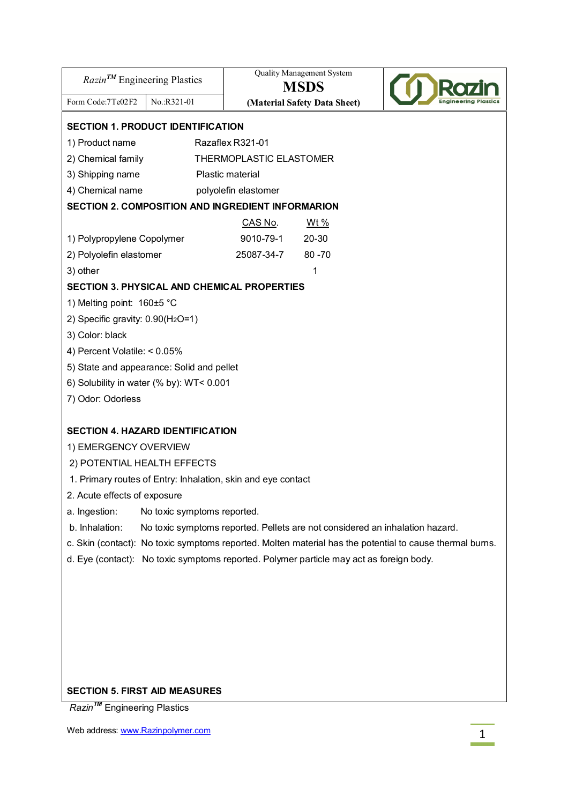| $Razin^{TM}$ Engineering Plastics                                                                        | <b>Quality Management System</b> |             |  |  |  |  |
|----------------------------------------------------------------------------------------------------------|----------------------------------|-------------|--|--|--|--|
|                                                                                                          | <b>MSDS</b>                      |             |  |  |  |  |
| Form Code: 7Te02F2<br>No.:R321-01                                                                        | (Material Safety Data Sheet)     |             |  |  |  |  |
| <b>SECTION 1. PRODUCT IDENTIFICATION</b>                                                                 |                                  |             |  |  |  |  |
| 1) Product name<br>Razaflex R321-01                                                                      |                                  |             |  |  |  |  |
| 2) Chemical family<br>THERMOPLASTIC ELASTOMER                                                            |                                  |             |  |  |  |  |
| 3) Shipping name<br>Plastic material                                                                     |                                  |             |  |  |  |  |
| 4) Chemical name<br>polyolefin elastomer                                                                 |                                  |             |  |  |  |  |
| SECTION 2. COMPOSITION AND INGREDIENT INFORMARION                                                        |                                  |             |  |  |  |  |
|                                                                                                          | CAS No.                          | <u>Wt %</u> |  |  |  |  |
| 1) Polypropylene Copolymer                                                                               | 9010-79-1                        | 20-30       |  |  |  |  |
| 2) Polyolefin elastomer                                                                                  | 25087-34-7                       | $80 - 70$   |  |  |  |  |
| 3) other                                                                                                 |                                  | 1           |  |  |  |  |
| <b>SECTION 3. PHYSICAL AND CHEMICAL PROPERTIES</b>                                                       |                                  |             |  |  |  |  |
| 1) Melting point: 160±5 °C                                                                               |                                  |             |  |  |  |  |
| 2) Specific gravity: 0.90(H <sub>2</sub> O=1)                                                            |                                  |             |  |  |  |  |
| 3) Color: black                                                                                          |                                  |             |  |  |  |  |
| 4) Percent Volatile: < 0.05%                                                                             |                                  |             |  |  |  |  |
| 5) State and appearance: Solid and pellet                                                                |                                  |             |  |  |  |  |
| 6) Solubility in water (% by): WT< 0.001                                                                 |                                  |             |  |  |  |  |
| 7) Odor: Odorless                                                                                        |                                  |             |  |  |  |  |
|                                                                                                          |                                  |             |  |  |  |  |
| <b>SECTION 4. HAZARD IDENTIFICATION</b>                                                                  |                                  |             |  |  |  |  |
| 1) EMERGENCY OVERVIEW                                                                                    |                                  |             |  |  |  |  |
| 2) POTENTIAL HEALTH EFFECTS                                                                              |                                  |             |  |  |  |  |
| 1. Primary routes of Entry: Inhalation, skin and eye contact                                             |                                  |             |  |  |  |  |
| 2. Acute effects of exposure                                                                             |                                  |             |  |  |  |  |
| a. Ingestion:<br>No toxic symptoms reported.                                                             |                                  |             |  |  |  |  |
| b. Inhalation:<br>No toxic symptoms reported. Pellets are not considered an inhalation hazard.           |                                  |             |  |  |  |  |
| c. Skin (contact): No toxic symptoms reported. Molten material has the potential to cause thermal burns. |                                  |             |  |  |  |  |
| d. Eye (contact): No toxic symptoms reported. Polymer particle may act as foreign body.                  |                                  |             |  |  |  |  |
|                                                                                                          |                                  |             |  |  |  |  |
|                                                                                                          |                                  |             |  |  |  |  |
|                                                                                                          |                                  |             |  |  |  |  |
|                                                                                                          |                                  |             |  |  |  |  |
|                                                                                                          |                                  |             |  |  |  |  |
|                                                                                                          |                                  |             |  |  |  |  |
|                                                                                                          |                                  |             |  |  |  |  |
| <b>SECTION 5. FIRST AID MEASURES</b>                                                                     |                                  |             |  |  |  |  |
| Razin <sup>™</sup> Engineering Plastics                                                                  |                                  |             |  |  |  |  |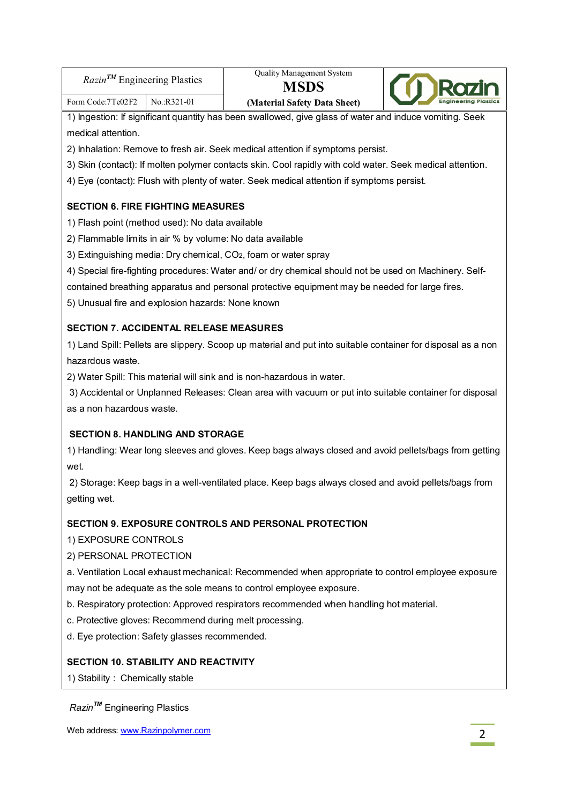| $Razin^{TM}$ Engineering Plastics |               | <b>Ouality Management System</b><br><b>MSDS</b> | <b>IRazin</b>               |
|-----------------------------------|---------------|-------------------------------------------------|-----------------------------|
| Form Code: 7Te02F2                | $No: R321-01$ | (Material Safety Data Sheet)                    | <b>Engineering Plastics</b> |

1) Ingestion: If significant quantity has been swallowed, give glass of water and induce vomiting. Seek medical attention.

2) Inhalation: Remove to fresh air. Seek medical attention if symptoms persist.

3) Skin (contact): If molten polymer contacts skin. Cool rapidly with cold water. Seek medical attention.

4) Eye (contact): Flush with plenty of water. Seek medical attention if symptoms persist.

## **SECTION 6. FIRE FIGHTING MEASURES**

1) Flash point (method used): No data available

2) Flammable limits in air % by volume: No data available

3) Extinguishing media: Dry chemical, CO2, foam or water spray

4) Special fire-fighting procedures: Water and/ or dry chemical should not be used on Machinery. Self-

contained breathing apparatus and personal protective equipment may be needed for large fires.

5) Unusual fire and explosion hazards: None known

## **SECTION 7. ACCIDENTAL RELEASE MEASURES**

1) Land Spill: Pellets are slippery. Scoop up material and put into suitable container for disposal as a non hazardous waste.

2) Water Spill: This material will sink and is non-hazardous in water.

3) Accidental or Unplanned Releases: Clean area with vacuum or put into suitable container for disposal as a non hazardous waste.

## **SECTION 8. HANDLING AND STORAGE**

1) Handling: Wear long sleeves and gloves. Keep bags always closed and avoid pellets/bags from getting wet.

2) Storage: Keep bags in a well-ventilated place. Keep bags always closed and avoid pellets/bags from getting wet.

## **SECTION 9. EXPOSURE CONTROLS AND PERSONAL PROTECTION**

1) EXPOSURE CONTROLS

## 2) PERSONAL PROTECTION

a. Ventilation Local exhaust mechanical: Recommended when appropriate to control employee exposure may not be adequate as the sole means to control employee exposure.

b. Respiratory protection: Approved respirators recommended when handling hot material.

c. Protective gloves: Recommend during melt processing.

d. Eye protection: Safety glasses recommended.

## **SECTION 10. STABILITY AND REACTIVITY**

1) Stability : Chemically stable

*RazinTM* Engineering Plastics